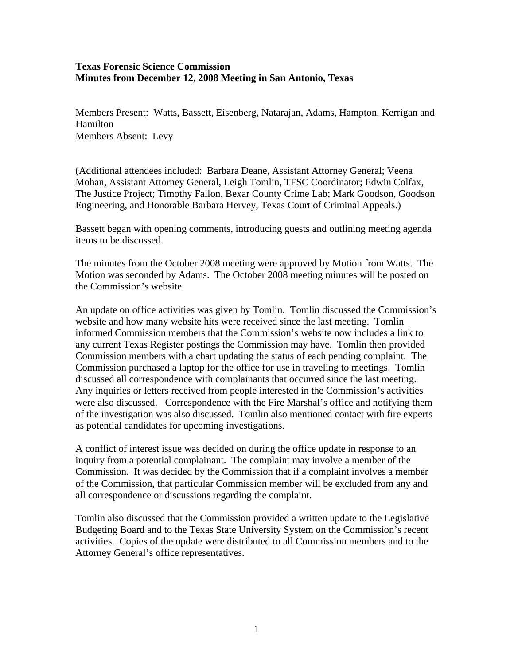## **Texas Forensic Science Commission Minutes from December 12, 2008 Meeting in San Antonio, Texas**

Members Present: Watts, Bassett, Eisenberg, Natarajan, Adams, Hampton, Kerrigan and Hamilton Members Absent: Levy

(Additional attendees included: Barbara Deane, Assistant Attorney General; Veena Mohan, Assistant Attorney General, Leigh Tomlin, TFSC Coordinator; Edwin Colfax, The Justice Project; Timothy Fallon, Bexar County Crime Lab; Mark Goodson, Goodson Engineering, and Honorable Barbara Hervey, Texas Court of Criminal Appeals.)

Bassett began with opening comments, introducing guests and outlining meeting agenda items to be discussed.

The minutes from the October 2008 meeting were approved by Motion from Watts. The Motion was seconded by Adams. The October 2008 meeting minutes will be posted on the Commission's website.

An update on office activities was given by Tomlin. Tomlin discussed the Commission's website and how many website hits were received since the last meeting. Tomlin informed Commission members that the Commission's website now includes a link to any current Texas Register postings the Commission may have. Tomlin then provided Commission members with a chart updating the status of each pending complaint. The Commission purchased a laptop for the office for use in traveling to meetings. Tomlin discussed all correspondence with complainants that occurred since the last meeting. Any inquiries or letters received from people interested in the Commission's activities were also discussed. Correspondence with the Fire Marshal's office and notifying them of the investigation was also discussed. Tomlin also mentioned contact with fire experts as potential candidates for upcoming investigations.

A conflict of interest issue was decided on during the office update in response to an inquiry from a potential complainant. The complaint may involve a member of the Commission. It was decided by the Commission that if a complaint involves a member of the Commission, that particular Commission member will be excluded from any and all correspondence or discussions regarding the complaint.

Tomlin also discussed that the Commission provided a written update to the Legislative Budgeting Board and to the Texas State University System on the Commission's recent activities. Copies of the update were distributed to all Commission members and to the Attorney General's office representatives.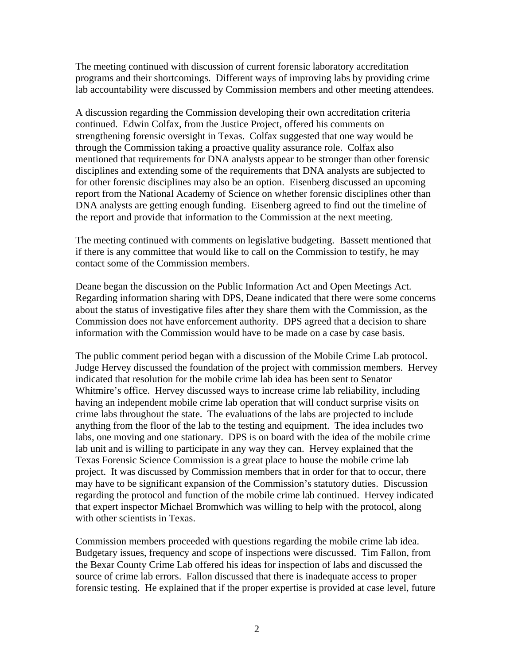The meeting continued with discussion of current forensic laboratory accreditation programs and their shortcomings. Different ways of improving labs by providing crime lab accountability were discussed by Commission members and other meeting attendees.

A discussion regarding the Commission developing their own accreditation criteria continued. Edwin Colfax, from the Justice Project, offered his comments on strengthening forensic oversight in Texas. Colfax suggested that one way would be through the Commission taking a proactive quality assurance role. Colfax also mentioned that requirements for DNA analysts appear to be stronger than other forensic disciplines and extending some of the requirements that DNA analysts are subjected to for other forensic disciplines may also be an option. Eisenberg discussed an upcoming report from the National Academy of Science on whether forensic disciplines other than DNA analysts are getting enough funding. Eisenberg agreed to find out the timeline of the report and provide that information to the Commission at the next meeting.

The meeting continued with comments on legislative budgeting. Bassett mentioned that if there is any committee that would like to call on the Commission to testify, he may contact some of the Commission members.

Deane began the discussion on the Public Information Act and Open Meetings Act. Regarding information sharing with DPS, Deane indicated that there were some concerns about the status of investigative files after they share them with the Commission, as the Commission does not have enforcement authority. DPS agreed that a decision to share information with the Commission would have to be made on a case by case basis.

The public comment period began with a discussion of the Mobile Crime Lab protocol. Judge Hervey discussed the foundation of the project with commission members. Hervey indicated that resolution for the mobile crime lab idea has been sent to Senator Whitmire's office. Hervey discussed ways to increase crime lab reliability, including having an independent mobile crime lab operation that will conduct surprise visits on crime labs throughout the state. The evaluations of the labs are projected to include anything from the floor of the lab to the testing and equipment. The idea includes two labs, one moving and one stationary. DPS is on board with the idea of the mobile crime lab unit and is willing to participate in any way they can. Hervey explained that the Texas Forensic Science Commission is a great place to house the mobile crime lab project. It was discussed by Commission members that in order for that to occur, there may have to be significant expansion of the Commission's statutory duties. Discussion regarding the protocol and function of the mobile crime lab continued. Hervey indicated that expert inspector Michael Bromwhich was willing to help with the protocol, along with other scientists in Texas.

Commission members proceeded with questions regarding the mobile crime lab idea. Budgetary issues, frequency and scope of inspections were discussed. Tim Fallon, from the Bexar County Crime Lab offered his ideas for inspection of labs and discussed the source of crime lab errors. Fallon discussed that there is inadequate access to proper forensic testing. He explained that if the proper expertise is provided at case level, future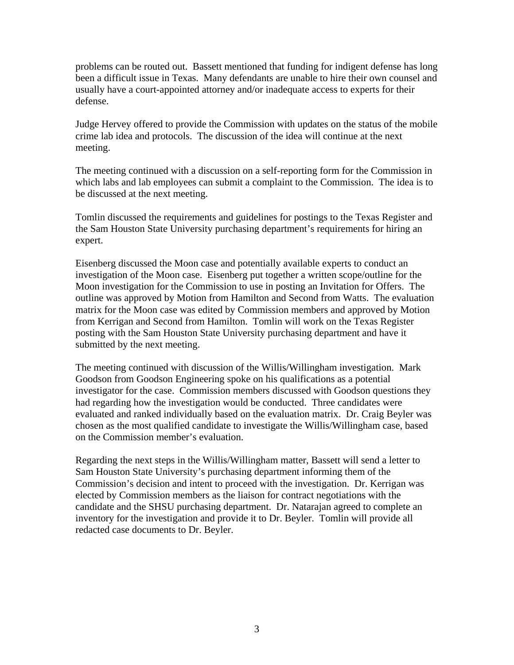problems can be routed out. Bassett mentioned that funding for indigent defense has long been a difficult issue in Texas. Many defendants are unable to hire their own counsel and usually have a court-appointed attorney and/or inadequate access to experts for their defense.

Judge Hervey offered to provide the Commission with updates on the status of the mobile crime lab idea and protocols. The discussion of the idea will continue at the next meeting.

The meeting continued with a discussion on a self-reporting form for the Commission in which labs and lab employees can submit a complaint to the Commission. The idea is to be discussed at the next meeting.

Tomlin discussed the requirements and guidelines for postings to the Texas Register and the Sam Houston State University purchasing department's requirements for hiring an expert.

Eisenberg discussed the Moon case and potentially available experts to conduct an investigation of the Moon case. Eisenberg put together a written scope/outline for the Moon investigation for the Commission to use in posting an Invitation for Offers. The outline was approved by Motion from Hamilton and Second from Watts. The evaluation matrix for the Moon case was edited by Commission members and approved by Motion from Kerrigan and Second from Hamilton. Tomlin will work on the Texas Register posting with the Sam Houston State University purchasing department and have it submitted by the next meeting.

The meeting continued with discussion of the Willis/Willingham investigation. Mark Goodson from Goodson Engineering spoke on his qualifications as a potential investigator for the case. Commission members discussed with Goodson questions they had regarding how the investigation would be conducted. Three candidates were evaluated and ranked individually based on the evaluation matrix. Dr. Craig Beyler was chosen as the most qualified candidate to investigate the Willis/Willingham case, based on the Commission member's evaluation.

Regarding the next steps in the Willis/Willingham matter, Bassett will send a letter to Sam Houston State University's purchasing department informing them of the Commission's decision and intent to proceed with the investigation. Dr. Kerrigan was elected by Commission members as the liaison for contract negotiations with the candidate and the SHSU purchasing department. Dr. Natarajan agreed to complete an inventory for the investigation and provide it to Dr. Beyler. Tomlin will provide all redacted case documents to Dr. Beyler.